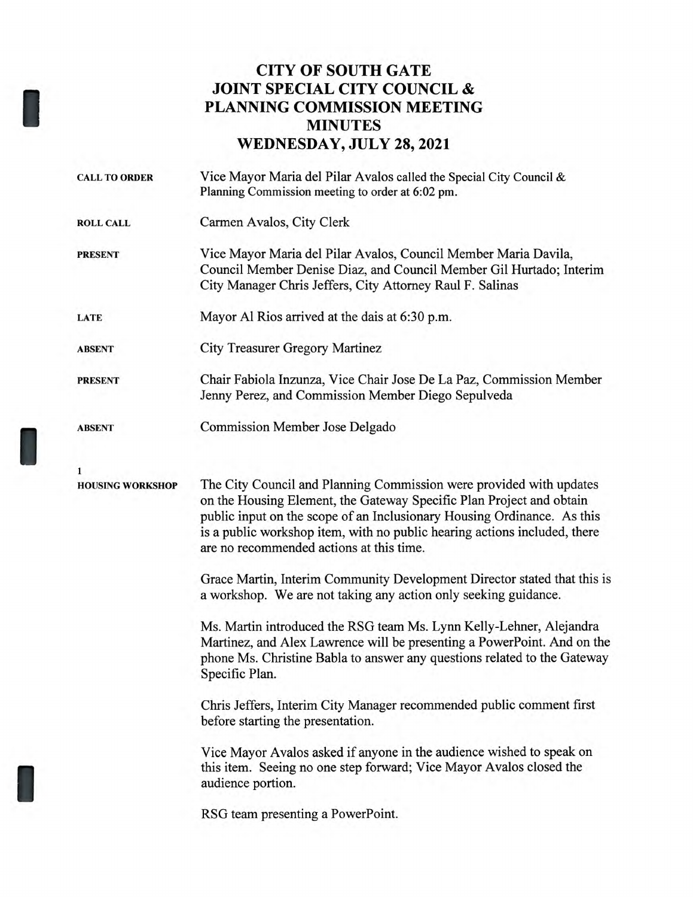## **CITY OF SOUTH GATE JOINT SPECIAL CITY COUNCIL & PLANNING COMMISSION MEETING MINUTES WEDNESDAY, JULY 28, 2021**

I

I

I

| <b>CALL TO ORDER</b>    | Vice Mayor Maria del Pilar Avalos called the Special City Council $\&$<br>Planning Commission meeting to order at 6:02 pm.                                                                                                                                                                                                                      |
|-------------------------|-------------------------------------------------------------------------------------------------------------------------------------------------------------------------------------------------------------------------------------------------------------------------------------------------------------------------------------------------|
| <b>ROLL CALL</b>        | Carmen Avalos, City Clerk                                                                                                                                                                                                                                                                                                                       |
| <b>PRESENT</b>          | Vice Mayor Maria del Pilar Avalos, Council Member Maria Davila,<br>Council Member Denise Diaz, and Council Member Gil Hurtado; Interim<br>City Manager Chris Jeffers, City Attorney Raul F. Salinas                                                                                                                                             |
| <b>LATE</b>             | Mayor Al Rios arrived at the dais at 6:30 p.m.                                                                                                                                                                                                                                                                                                  |
| <b>ABSENT</b>           | City Treasurer Gregory Martinez                                                                                                                                                                                                                                                                                                                 |
| <b>PRESENT</b>          | Chair Fabiola Inzunza, Vice Chair Jose De La Paz, Commission Member<br>Jenny Perez, and Commission Member Diego Sepulveda                                                                                                                                                                                                                       |
| <b>ABSENT</b>           | <b>Commission Member Jose Delgado</b>                                                                                                                                                                                                                                                                                                           |
| 1                       |                                                                                                                                                                                                                                                                                                                                                 |
| <b>HOUSING WORKSHOP</b> | The City Council and Planning Commission were provided with updates<br>on the Housing Element, the Gateway Specific Plan Project and obtain<br>public input on the scope of an Inclusionary Housing Ordinance. As this<br>is a public workshop item, with no public hearing actions included, there<br>are no recommended actions at this time. |
|                         | Grace Martin, Interim Community Development Director stated that this is<br>a workshop. We are not taking any action only seeking guidance.                                                                                                                                                                                                     |
|                         | Ms. Martin introduced the RSG team Ms. Lynn Kelly-Lehner, Alejandra<br>Martinez, and Alex Lawrence will be presenting a PowerPoint. And on the<br>phone Ms. Christine Babla to answer any questions related to the Gateway<br>Specific Plan.                                                                                                    |
|                         | Chris Jeffers, Interim City Manager recommended public comment first<br>before starting the presentation.                                                                                                                                                                                                                                       |
|                         | Vice Mayor Avalos asked if anyone in the audience wished to speak on<br>this item. Seeing no one step forward; Vice Mayor Avalos closed the<br>audience portion.                                                                                                                                                                                |
|                         | RSG team presenting a PowerPoint.                                                                                                                                                                                                                                                                                                               |
|                         |                                                                                                                                                                                                                                                                                                                                                 |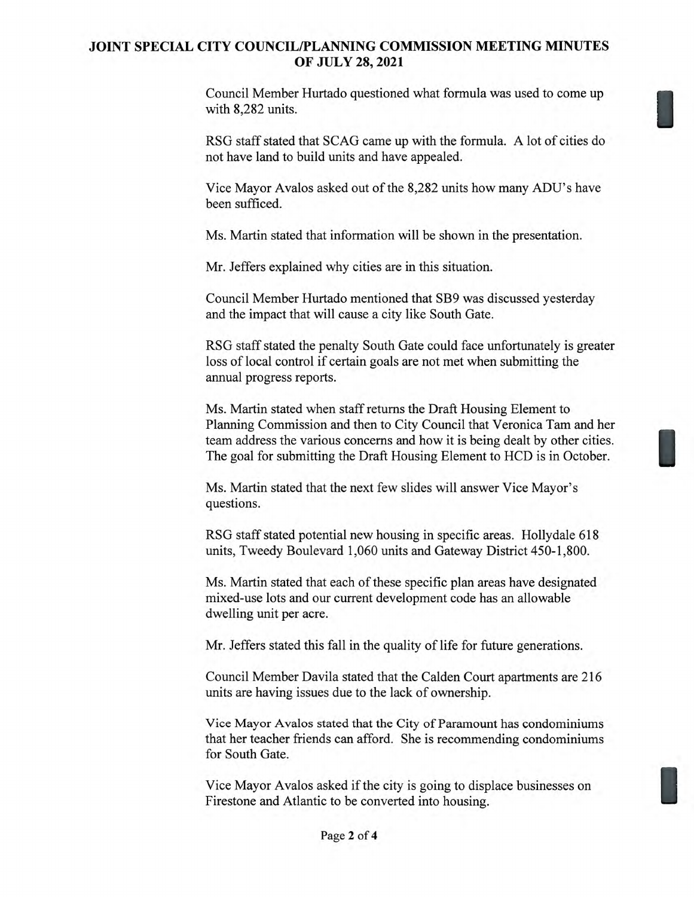## **JOINT SPECIAL CITY COUNCIL/PLANNING COMMISSION MEETING MINUTES OF JULY 28, 2021**

Council Member Hurtado questioned what formula was used to come up with 8,282 units.

RSG staff stated that SCAG came up with the formula. A lot of cities do not have land to build units and have appealed.

Vice Mayor Avalos asked out of the 8,282 units how many ADU's have been sufficed.

Ms. Martin stated that information will be shown in the presentation.

Mr. Jeffers explained why cities are in this situation.

Council Member Hurtado mentioned that SB9 was discussed yesterday and the impact that will cause a city like South Gate.

RSG staff stated the penalty South Gate could face unfortunately is greater loss of local control if certain goals are not met when submitting the annual progress reports.

Ms. Martin stated when staff returns the Draft Housing Element to Planning Commission and then to City Council that Veronica Tam and her team address the various concerns and how it is being dealt by other cities. The goal for submitting the Draft Housing Element to HCD is in October.

Ms. Martin stated that the next few slides will answer Vice Mayor's questions.

RSG staff stated potential new housing in specific areas. Hollydale 618 units, Tweedy Boulevard 1,060 units and Gateway District 450-1,800.

Ms. Martin stated that each of these specific plan areas have designated mixed-use lots and our current development code has an allowable dwelling unit per acre.

Mr. Jeffers stated this fall in the quality of life for future generations.

Council Member Davila stated that the Calden Court apartments are 216 units are having issues due to the lack of ownership.

Vice Mayor Avalos stated that the City of Paramount has condominiums that her teacher friends can afford. She is recommending condominiums for South Gate.

Vice Mayor Avalos asked if the city is going to displace businesses on Firestone and Atlantic to be converted into housing.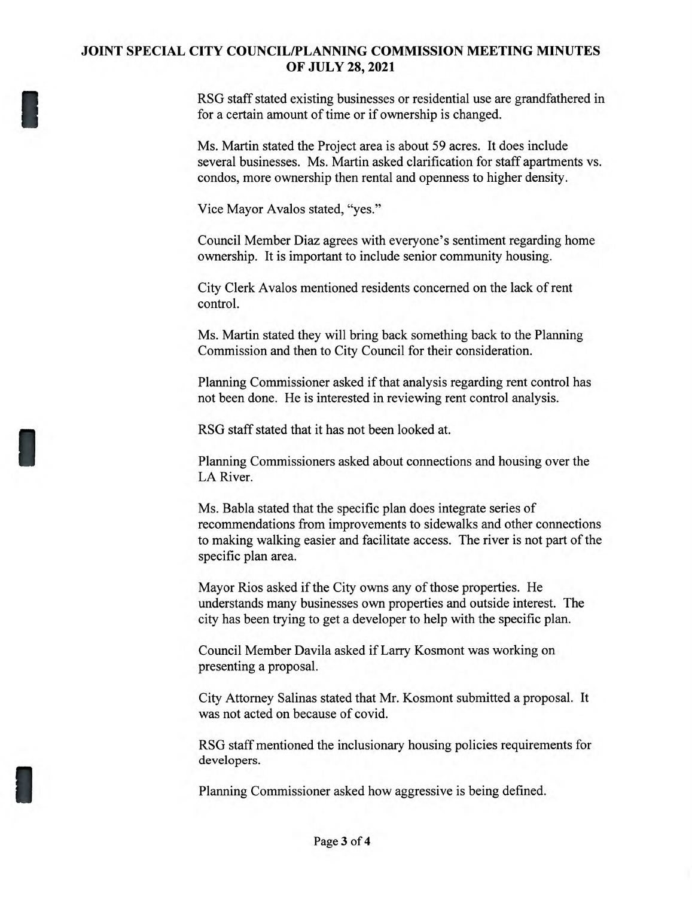## **JOINT SPECIAL CITY COUNCIL/PLANNING COMMISSION MEETING MINUTES OF JULY 28, 2021**

RSG staff stated existing businesses or residential use are grandfathered in for a certain amount of time or if ownership is changed.

Ms. Martin stated the Project area is about 59 acres. It does include several businesses. Ms. Martin asked clarification for staff apartments vs. condos, more ownership then rental and openness to higher density.

Vice Mayor Avalos stated, "yes."

Council Member Diaz agrees with everyone's sentiment regarding home ownership. It is important to include senior community housing.

City Clerk Avalos mentioned residents concerned on the lack of rent control.

Ms. Martin stated they will bring back something back to the Planning Commission and then to City Council for their consideration.

Planning Commissioner asked if that analysis regarding rent control has not been done. He is interested in reviewing rent control analysis.

RSG staff stated that it has not been looked at.

Planning Commissioners asked about connections and housing over the LA River.

Ms. Babla stated that the specific plan does integrate series of recommendations from improvements to sidewalks and other connections to making walking easier and facilitate access. The river is not part of the specific plan area.

Mayor Rios asked if the City owns any of those properties. He understands many businesses own properties and outside interest. The city has been trying to get a developer to help with the specific plan.

Council Member Davila asked if Larry Kosmont was working on presenting a proposal.

City Attorney Salinas stated that Mr. Kosmont submitted a proposal. It was not acted on because of covid.

RSG staff mentioned the inclusionary housing policies requirements for developers.

Planning Commissioner asked how aggressive is being defined.